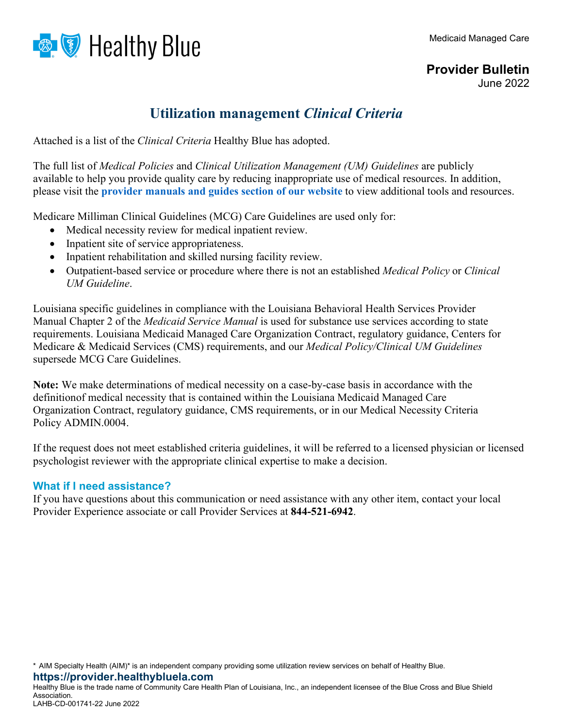



June 2022

## **Utilization management** *Clinical Criteria*

Attached is a list of the *Clinical Criteria* Healthy Blue has adopted.

The full list of *Medical Policies* and *Clinical Utilization Management (UM) Guidelines* are publicly available to help you provide quality care by reducing inappropriate use of medical resources. In addition, please visit the **provider manuals and [guides section](https://provider.healthybluela.com/louisiana-provider/resources/provider-manuals-and-guides) of our website** to view additional tools and resources.

Medicare Milliman Clinical Guidelines (MCG) Care Guidelines are used only for:

- Medical necessity review for medical inpatient review.
- Inpatient site of service appropriateness.
- Inpatient rehabilitation and skilled nursing facility review.
- Outpatient-based service or procedure where there is not an established *Medical Policy* or *Clinical UM Guideline*.

Louisiana specific guidelines in compliance with the Louisiana Behavioral Health Services Provider Manual Chapter 2 of the *Medicaid Service Manual* is used for substance use services according to state requirements. Louisiana Medicaid Managed Care Organization Contract, regulatory guidance, Centers for Medicare & Medicaid Services (CMS) requirements, and our *Medical Policy/Clinical UM Guidelines* supersede MCG Care Guidelines.

**Note:** We make determinations of medical necessity on a case-by-case basis in accordance with the definitionof medical necessity that is contained within the Louisiana Medicaid Managed Care Organization Contract, regulatory guidance, CMS requirements, or in our Medical Necessity Criteria Policy ADMIN.0004.

If the request does not meet established criteria guidelines, it will be referred to a licensed physician or licensed psychologist reviewer with the appropriate clinical expertise to make a decision.

## **What if I need assistance?**

If you have questions about this communication or need assistance with any other item, contact your local Provider Experience associate or call Provider Services at **844-521-6942**.

Healthy Blue is the trade name of Community Care Health Plan of Louisiana, Inc., an independent licensee of the Blue Cross and Blue Shield Association. LAHB-CD-001741-22 June 2022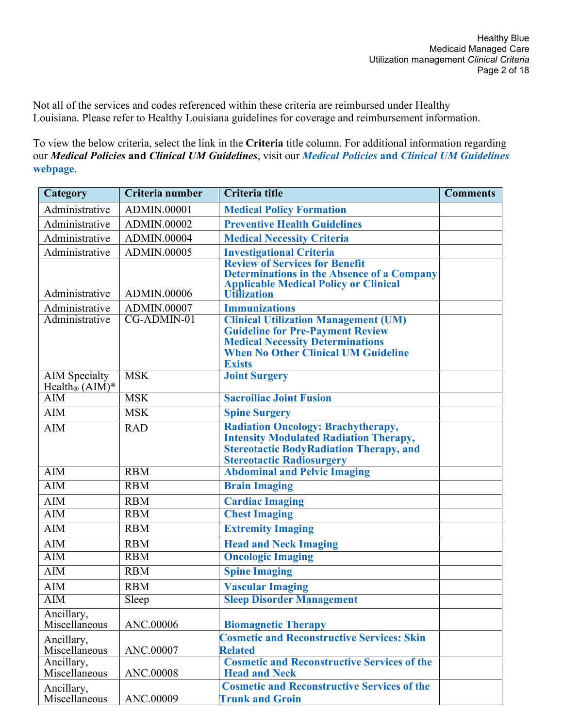Not all of the services and codes referenced within these criteria are reimbursed under Healthy Louisiana. Please refer to Healthy Louisiana guidelines for coverage and reimbursement information.

To view the below criteria, select the link in the **Criteria** title column. For additional information regarding our *Medical Policies* **and** *Clinical UM Guidelines*, visit our *Medical Policies* **and** *[Clinical UM Guidelines](https://provider.healthybluela.com/louisiana-provider/medical-policies-and-clinical-guidelines)* **[webpage](https://provider.healthybluela.com/louisiana-provider/medical-policies-and-clinical-guidelines)**.

| Category                                             | Criteria number    | Criteria title                                                                                                                                                                                   | <b>Comments</b> |
|------------------------------------------------------|--------------------|--------------------------------------------------------------------------------------------------------------------------------------------------------------------------------------------------|-----------------|
| Administrative                                       | ADMIN.00001        | <b>Medical Policy Formation</b>                                                                                                                                                                  |                 |
| Administrative                                       | ADMIN.00002        | <b>Preventive Health Guidelines</b>                                                                                                                                                              |                 |
| Administrative                                       | <b>ADMIN.00004</b> | <b>Medical Necessity Criteria</b>                                                                                                                                                                |                 |
| Administrative                                       | ADMIN.00005        | <b>Investigational Criteria</b>                                                                                                                                                                  |                 |
| Administrative                                       | ADMIN.00006        | <b>Review of Services for Benefit</b><br><b>Determinations in the Absence of a Company</b><br><b>Applicable Medical Policy or Clinical</b><br><b>Utilization</b>                                 |                 |
| Administrative                                       | ADMIN.00007        | <b>Immunizations</b>                                                                                                                                                                             |                 |
| Administrative                                       | $CG-ADMIN-01$      | <b>Clinical Utilization Management (UM)</b><br><b>Guideline for Pre-Payment Review</b><br><b>Medical Necessity Determinations</b><br><b>When No Other Clinical UM Guideline</b><br><b>Exists</b> |                 |
| <b>AIM</b> Specialty<br>Health <sub>®</sub> $(AIM)*$ | <b>MSK</b>         | <b>Joint Surgery</b>                                                                                                                                                                             |                 |
| $\overline{AIM}$                                     | <b>MSK</b>         | <b>Sacroiliac Joint Fusion</b>                                                                                                                                                                   |                 |
| $\overline{AM}$                                      | <b>MSK</b>         | <b>Spine Surgery</b>                                                                                                                                                                             |                 |
| AIM                                                  | <b>RAD</b>         | <b>Radiation Oncology: Brachytherapy,</b><br><b>Intensity Modulated Radiation Therapy,</b><br><b>Stereotactic BodyRadiation Therapy, and</b><br><b>Stereotactic Radiosurgery</b>                 |                 |
| $\overline{AIM}$                                     | <b>RBM</b>         | <b>Abdominal and Pelvic Imaging</b>                                                                                                                                                              |                 |
| $\overline{AIM}$                                     | <b>RBM</b>         | <b>Brain Imaging</b>                                                                                                                                                                             |                 |
| <b>AIM</b>                                           | <b>RBM</b>         | <b>Cardiac Imaging</b>                                                                                                                                                                           |                 |
| <b>AIM</b>                                           | <b>RBM</b>         | <b>Chest Imaging</b>                                                                                                                                                                             |                 |
| <b>AIM</b>                                           | <b>RBM</b>         | <b>Extremity Imaging</b>                                                                                                                                                                         |                 |
| AIM                                                  | <b>RBM</b>         | <b>Head and Neck Imaging</b>                                                                                                                                                                     |                 |
| $\overline{AIM}$                                     | RBM                | <b>Oncologic Imaging</b>                                                                                                                                                                         |                 |
| $\overline{AIM}$                                     | <b>RBM</b>         | <b>Spine Imaging</b>                                                                                                                                                                             |                 |
| AIM                                                  | <b>RBM</b>         | <b>Vascular Imaging</b>                                                                                                                                                                          |                 |
| AIM                                                  | Sleep              | <b>Sleep Disorder Management</b>                                                                                                                                                                 |                 |
| Ancillary,<br>Miscellaneous                          | ANC.00006          | <b>Biomagnetic Therapy</b>                                                                                                                                                                       |                 |
| Ancillary,<br>Miscellaneous                          | ANC.00007          | <b>Cosmetic and Reconstructive Services: Skin</b><br><b>Related</b>                                                                                                                              |                 |
| Ancillary,<br>Miscellaneous                          | ANC.00008          | <b>Cosmetic and Reconstructive Services of the</b><br><b>Head and Neck</b>                                                                                                                       |                 |
| Ancillary,<br>Miscellaneous                          | ANC.00009          | <b>Cosmetic and Reconstructive Services of the</b><br><b>Trunk and Groin</b>                                                                                                                     |                 |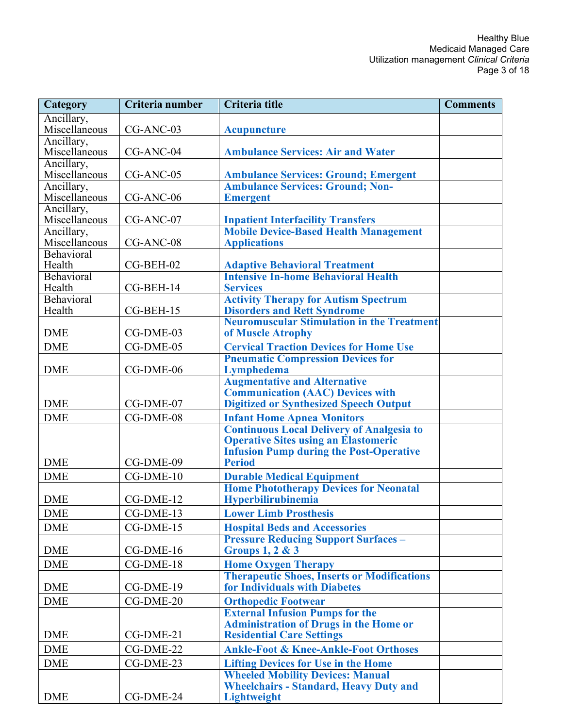| <b>Category</b>             | Criteria number | Criteria title                                                                                  | <b>Comments</b> |
|-----------------------------|-----------------|-------------------------------------------------------------------------------------------------|-----------------|
| Ancillary,                  |                 |                                                                                                 |                 |
| Miscellaneous               | CG-ANC-03       | <b>Acupuncture</b>                                                                              |                 |
| Ancillary,                  |                 |                                                                                                 |                 |
| Miscellaneous               | CG-ANC-04       | <b>Ambulance Services: Air and Water</b>                                                        |                 |
| Ancillary,<br>Miscellaneous | CG-ANC-05       | <b>Ambulance Services: Ground; Emergent</b>                                                     |                 |
| Ancillary,                  |                 | <b>Ambulance Services: Ground; Non-</b>                                                         |                 |
| Miscellaneous               | CG-ANC-06       | <b>Emergent</b>                                                                                 |                 |
| Ancillary,                  |                 |                                                                                                 |                 |
| Miscellaneous               | CG-ANC-07       | <b>Inpatient Interfacility Transfers</b>                                                        |                 |
| Ancillary,                  |                 | <b>Mobile Device-Based Health Management</b>                                                    |                 |
| Miscellaneous               | CG-ANC-08       | <b>Applications</b>                                                                             |                 |
| Behavioral                  |                 |                                                                                                 |                 |
| Health<br>Behavioral        | CG-BEH-02       | <b>Adaptive Behavioral Treatment</b><br><b>Intensive In-home Behavioral Health</b>              |                 |
| Health                      | CG-BEH-14       | <b>Services</b>                                                                                 |                 |
| Behavioral                  |                 | <b>Activity Therapy for Autism Spectrum</b>                                                     |                 |
| Health                      | CG-BEH-15       | <b>Disorders and Rett Syndrome</b>                                                              |                 |
|                             |                 | <b>Neuromuscular Stimulation in the Treatment</b>                                               |                 |
| <b>DME</b>                  | CG-DME-03       | of Muscle Atrophy                                                                               |                 |
| <b>DME</b>                  | CG-DME-05       | <b>Cervical Traction Devices for Home Use</b>                                                   |                 |
|                             |                 | <b>Pneumatic Compression Devices for</b>                                                        |                 |
| <b>DME</b>                  | CG-DME-06       | Lymphedema                                                                                      |                 |
|                             |                 | <b>Augmentative and Alternative</b>                                                             |                 |
|                             |                 | <b>Communication (AAC) Devices with</b>                                                         |                 |
| <b>DME</b>                  | CG-DME-07       | <b>Digitized or Synthesized Speech Output</b>                                                   |                 |
| <b>DME</b>                  | CG-DME-08       | <b>Infant Home Apnea Monitors</b>                                                               |                 |
|                             |                 | <b>Continuous Local Delivery of Analgesia to</b><br><b>Operative Sites using an Elastomeric</b> |                 |
|                             |                 | <b>Infusion Pump during the Post-Operative</b>                                                  |                 |
| <b>DME</b>                  | CG-DME-09       | <b>Period</b>                                                                                   |                 |
| <b>DME</b>                  | CG-DME-10       | <b>Durable Medical Equipment</b>                                                                |                 |
|                             |                 | <b>Home Phototherapy Devices for Neonatal</b>                                                   |                 |
| <b>DME</b>                  | CG-DME-12       | Hyperbilirubinemia                                                                              |                 |
| <b>DME</b>                  | CG-DME-13       | <b>Lower Limb Prosthesis</b>                                                                    |                 |
| <b>DME</b>                  | CG-DME-15       | <b>Hospital Beds and Accessories</b>                                                            |                 |
|                             |                 | <b>Pressure Reducing Support Surfaces -</b>                                                     |                 |
| <b>DME</b>                  | CG-DME-16       | <b>Groups 1, 2 &amp; 3</b>                                                                      |                 |
| <b>DME</b>                  | CG-DME-18       | <b>Home Oxygen Therapy</b>                                                                      |                 |
|                             |                 | <b>Therapeutic Shoes, Inserts or Modifications</b>                                              |                 |
| <b>DME</b>                  | CG-DME-19       | for Individuals with Diabetes                                                                   |                 |
| <b>DME</b>                  | CG-DME-20       | <b>Orthopedic Footwear</b>                                                                      |                 |
|                             |                 | <b>External Infusion Pumps for the</b>                                                          |                 |
|                             |                 | <b>Administration of Drugs in the Home or</b>                                                   |                 |
| <b>DME</b>                  | CG-DME-21       | <b>Residential Care Settings</b>                                                                |                 |
| <b>DME</b>                  | CG-DME-22       | <b>Ankle-Foot &amp; Knee-Ankle-Foot Orthoses</b>                                                |                 |
| <b>DME</b>                  | CG-DME-23       | <b>Lifting Devices for Use in the Home</b>                                                      |                 |
|                             |                 | <b>Wheeled Mobility Devices: Manual</b>                                                         |                 |
|                             |                 | <b>Wheelchairs - Standard, Heavy Duty and</b>                                                   |                 |
| <b>DME</b>                  | CG-DME-24       | Lightweight                                                                                     |                 |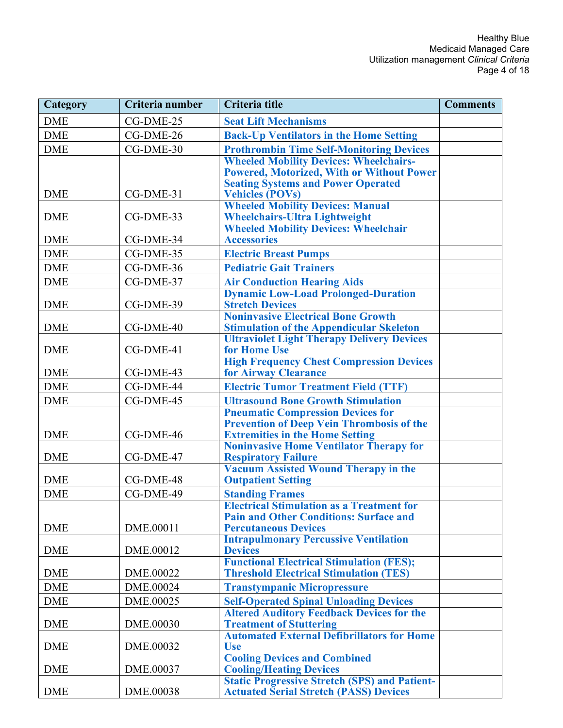| <b>Category</b> | Criteria number | Criteria title                                                                                       | <b>Comments</b> |
|-----------------|-----------------|------------------------------------------------------------------------------------------------------|-----------------|
| <b>DME</b>      | CG-DME-25       | <b>Seat Lift Mechanisms</b>                                                                          |                 |
| <b>DME</b>      | CG-DME-26       | <b>Back-Up Ventilators in the Home Setting</b>                                                       |                 |
| <b>DME</b>      | CG-DME-30       | <b>Prothrombin Time Self-Monitoring Devices</b>                                                      |                 |
|                 |                 | <b>Wheeled Mobility Devices: Wheelchairs-</b>                                                        |                 |
|                 |                 | <b>Powered, Motorized, With or Without Power</b>                                                     |                 |
|                 |                 | <b>Seating Systems and Power Operated</b>                                                            |                 |
| <b>DME</b>      | CG-DME-31       | <b>Vehicles (POVs)</b><br><b>Wheeled Mobility Devices: Manual</b>                                    |                 |
| <b>DME</b>      | CG-DME-33       | <b>Wheelchairs-Ultra Lightweight</b>                                                                 |                 |
|                 |                 | <b>Wheeled Mobility Devices: Wheelchair</b>                                                          |                 |
| <b>DME</b>      | CG-DME-34       | <b>Accessories</b>                                                                                   |                 |
| <b>DME</b>      | CG-DME-35       | <b>Electric Breast Pumps</b>                                                                         |                 |
| <b>DME</b>      | CG-DME-36       | <b>Pediatric Gait Trainers</b>                                                                       |                 |
| <b>DME</b>      | CG-DME-37       | <b>Air Conduction Hearing Aids</b>                                                                   |                 |
|                 |                 | <b>Dynamic Low-Load Prolonged-Duration</b>                                                           |                 |
| <b>DME</b>      | CG-DME-39       | <b>Stretch Devices</b>                                                                               |                 |
|                 |                 | <b>Noninvasive Electrical Bone Growth</b>                                                            |                 |
| <b>DME</b>      | CG-DME-40       | <b>Stimulation of the Appendicular Skeleton</b><br><b>Ultraviolet Light Therapy Delivery Devices</b> |                 |
| <b>DME</b>      | CG-DME-41       | for Home Use                                                                                         |                 |
|                 |                 | <b>High Frequency Chest Compression Devices</b>                                                      |                 |
| <b>DME</b>      | CG-DME-43       | for Airway Clearance                                                                                 |                 |
| <b>DME</b>      | CG-DME-44       | <b>Electric Tumor Treatment Field (TTF)</b>                                                          |                 |
| <b>DME</b>      | CG-DME-45       | <b>Ultrasound Bone Growth Stimulation</b>                                                            |                 |
|                 |                 | <b>Pneumatic Compression Devices for</b>                                                             |                 |
|                 |                 | <b>Prevention of Deep Vein Thrombosis of the</b>                                                     |                 |
| <b>DME</b>      | CG-DME-46       | <b>Extremities in the Home Setting</b><br><b>Noninvasive Home Ventilator Therapy for</b>             |                 |
| <b>DME</b>      | CG-DME-47       | <b>Respiratory Failure</b>                                                                           |                 |
|                 |                 | <b>Vacuum Assisted Wound Therapy in the</b>                                                          |                 |
| <b>DME</b>      | CG-DME-48       | <b>Outpatient Setting</b>                                                                            |                 |
| <b>DME</b>      | CG-DME-49       | <b>Standing Frames</b>                                                                               |                 |
|                 |                 | <b>Electrical Stimulation as a Treatment for</b>                                                     |                 |
|                 |                 | <b>Pain and Other Conditions: Surface and</b>                                                        |                 |
| <b>DME</b>      | DME.00011       | <b>Percutaneous Devices</b><br><b>Intrapulmonary Percussive Ventilation</b>                          |                 |
| <b>DME</b>      | DME.00012       | <b>Devices</b>                                                                                       |                 |
|                 |                 | <b>Functional Electrical Stimulation (FES);</b>                                                      |                 |
| <b>DME</b>      | DME.00022       | <b>Threshold Electrical Stimulation (TES)</b>                                                        |                 |
| <b>DME</b>      | DME.00024       | <b>Transtympanic Micropressure</b>                                                                   |                 |
| <b>DME</b>      | DME.00025       | <b>Self-Operated Spinal Unloading Devices</b>                                                        |                 |
|                 |                 | <b>Altered Auditory Feedback Devices for the</b>                                                     |                 |
| <b>DME</b>      | DME.00030       | <b>Treatment of Stuttering</b>                                                                       |                 |
| <b>DME</b>      | DME.00032       | <b>Automated External Defibrillators for Home</b><br><b>Use</b>                                      |                 |
|                 |                 | <b>Cooling Devices and Combined</b>                                                                  |                 |
| <b>DME</b>      | DME.00037       | <b>Cooling/Heating Devices</b>                                                                       |                 |
|                 |                 | <b>Static Progressive Stretch (SPS) and Patient-</b>                                                 |                 |
| <b>DME</b>      | DME.00038       | <b>Actuated Serial Stretch (PASS) Devices</b>                                                        |                 |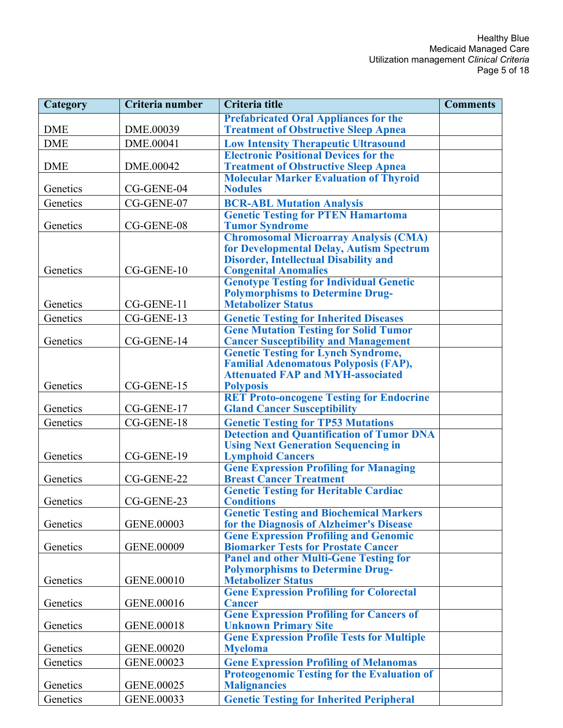| Category   | Criteria number | Criteria title                                                                                | <b>Comments</b> |
|------------|-----------------|-----------------------------------------------------------------------------------------------|-----------------|
|            |                 | <b>Prefabricated Oral Appliances for the</b>                                                  |                 |
| <b>DME</b> | DME.00039       | <b>Treatment of Obstructive Sleep Apnea</b>                                                   |                 |
| <b>DME</b> | DME.00041       | <b>Low Intensity Therapeutic Ultrasound</b>                                                   |                 |
|            |                 | <b>Electronic Positional Devices for the</b>                                                  |                 |
| <b>DME</b> | DME.00042       | <b>Treatment of Obstructive Sleep Apnea</b>                                                   |                 |
|            |                 | <b>Molecular Marker Evaluation of Thyroid</b>                                                 |                 |
| Genetics   | CG-GENE-04      | <b>Nodules</b>                                                                                |                 |
| Genetics   | CG-GENE-07      | <b>BCR-ABL Mutation Analysis</b>                                                              |                 |
|            |                 | <b>Genetic Testing for PTEN Hamartoma</b>                                                     |                 |
| Genetics   | CG-GENE-08      | <b>Tumor Syndrome</b>                                                                         |                 |
|            |                 | <b>Chromosomal Microarray Analysis (CMA)</b><br>for Developmental Delay, Autism Spectrum      |                 |
|            |                 | <b>Disorder, Intellectual Disability and</b>                                                  |                 |
| Genetics   | CG-GENE-10      | <b>Congenital Anomalies</b>                                                                   |                 |
|            |                 | <b>Genotype Testing for Individual Genetic</b>                                                |                 |
|            |                 | <b>Polymorphisms to Determine Drug-</b>                                                       |                 |
| Genetics   | CG-GENE-11      | <b>Metabolizer Status</b>                                                                     |                 |
| Genetics   | CG-GENE-13      | <b>Genetic Testing for Inherited Diseases</b>                                                 |                 |
|            |                 | <b>Gene Mutation Testing for Solid Tumor</b>                                                  |                 |
| Genetics   | CG-GENE-14      | <b>Cancer Susceptibility and Management</b>                                                   |                 |
|            |                 | <b>Genetic Testing for Lynch Syndrome,</b>                                                    |                 |
|            |                 | <b>Familial Adenomatous Polyposis (FAP),</b>                                                  |                 |
|            |                 | <b>Attenuated FAP and MYH-associated</b>                                                      |                 |
| Genetics   | CG-GENE-15      | <b>Polyposis</b><br><b>RET Proto-oncogene Testing for Endocrine</b>                           |                 |
| Genetics   | CG-GENE-17      | <b>Gland Cancer Susceptibility</b>                                                            |                 |
| Genetics   | CG-GENE-18      |                                                                                               |                 |
|            |                 | <b>Genetic Testing for TP53 Mutations</b><br><b>Detection and Quantification of Tumor DNA</b> |                 |
|            |                 | <b>Using Next Generation Sequencing in</b>                                                    |                 |
| Genetics   | CG-GENE-19      | <b>Lymphoid Cancers</b>                                                                       |                 |
|            |                 | <b>Gene Expression Profiling for Managing</b>                                                 |                 |
| Genetics   | CG-GENE-22      | <b>Breast Cancer Treatment</b>                                                                |                 |
|            |                 | <b>Genetic Testing for Heritable Cardiac</b>                                                  |                 |
| Genetics   | CG-GENE-23      | <b>Conditions</b>                                                                             |                 |
|            |                 | <b>Genetic Testing and Biochemical Markers</b>                                                |                 |
| Genetics   | GENE.00003      | for the Diagnosis of Alzheimer's Disease                                                      |                 |
| Genetics   | GENE.00009      | <b>Gene Expression Profiling and Genomic</b><br><b>Biomarker Tests for Prostate Cancer</b>    |                 |
|            |                 | <b>Panel and other Multi-Gene Testing for</b>                                                 |                 |
|            |                 | <b>Polymorphisms to Determine Drug-</b>                                                       |                 |
| Genetics   | GENE.00010      | <b>Metabolizer Status</b>                                                                     |                 |
|            |                 | <b>Gene Expression Profiling for Colorectal</b>                                               |                 |
| Genetics   | GENE.00016      | <b>Cancer</b>                                                                                 |                 |
|            |                 | <b>Gene Expression Profiling for Cancers of</b>                                               |                 |
| Genetics   | GENE.00018      | <b>Unknown Primary Site</b>                                                                   |                 |
|            |                 | <b>Gene Expression Profile Tests for Multiple</b>                                             |                 |
| Genetics   | GENE.00020      | <b>Myeloma</b>                                                                                |                 |
| Genetics   | GENE.00023      | <b>Gene Expression Profiling of Melanomas</b>                                                 |                 |
|            |                 | <b>Proteogenomic Testing for the Evaluation of</b>                                            |                 |
| Genetics   | GENE.00025      | <b>Malignancies</b>                                                                           |                 |
| Genetics   | GENE.00033      | <b>Genetic Testing for Inherited Peripheral</b>                                               |                 |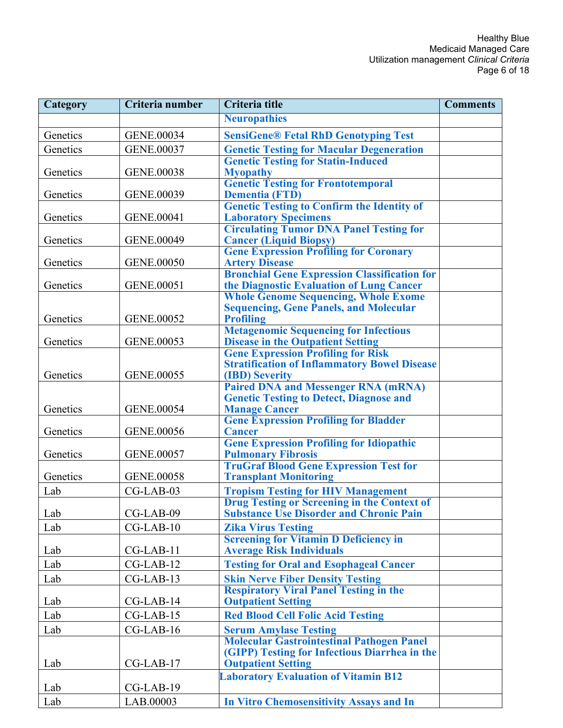| Category | Criteria number   | <b>Criteria title</b>                                                                 | <b>Comments</b> |
|----------|-------------------|---------------------------------------------------------------------------------------|-----------------|
|          |                   | <b>Neuropathies</b>                                                                   |                 |
| Genetics | GENE.00034        | <b>SensiGene® Fetal RhD Genotyping Test</b>                                           |                 |
| Genetics | <b>GENE.00037</b> | <b>Genetic Testing for Macular Degeneration</b>                                       |                 |
|          |                   | <b>Genetic Testing for Statin-Induced</b>                                             |                 |
| Genetics | GENE.00038        | <b>Myopathy</b>                                                                       |                 |
|          |                   | <b>Genetic Testing for Frontotemporal</b>                                             |                 |
| Genetics | GENE.00039        | <b>Dementia (FTD)</b>                                                                 |                 |
|          |                   | <b>Genetic Testing to Confirm the Identity of</b>                                     |                 |
| Genetics | GENE.00041        | <b>Laboratory Specimens</b>                                                           |                 |
| Genetics | <b>GENE.00049</b> | <b>Circulating Tumor DNA Panel Testing for</b><br><b>Cancer (Liquid Biopsy)</b>       |                 |
|          |                   | <b>Gene Expression Profiling for Coronary</b>                                         |                 |
| Genetics | <b>GENE.00050</b> | <b>Artery Disease</b>                                                                 |                 |
|          |                   | <b>Bronchial Gene Expression Classification for</b>                                   |                 |
| Genetics | GENE.00051        | the Diagnostic Evaluation of Lung Cancer                                              |                 |
|          |                   | <b>Whole Genome Sequencing, Whole Exome</b>                                           |                 |
|          |                   | <b>Sequencing, Gene Panels, and Molecular</b>                                         |                 |
| Genetics | GENE.00052        | <b>Profiling</b>                                                                      |                 |
| Genetics | GENE.00053        | <b>Metagenomic Sequencing for Infectious</b>                                          |                 |
|          |                   | <b>Disease in the Outpatient Setting</b><br><b>Gene Expression Profiling for Risk</b> |                 |
|          |                   | <b>Stratification of Inflammatory Bowel Disease</b>                                   |                 |
| Genetics | GENE.00055        | (IBD) Severity                                                                        |                 |
|          |                   | <b>Paired DNA and Messenger RNA (mRNA)</b>                                            |                 |
|          |                   | <b>Genetic Testing to Detect, Diagnose and</b>                                        |                 |
| Genetics | <b>GENE.00054</b> | <b>Manage Cancer</b>                                                                  |                 |
|          |                   | <b>Gene Expression Profiling for Bladder</b>                                          |                 |
| Genetics | GENE.00056        | <b>Cancer</b>                                                                         |                 |
| Genetics | GENE.00057        | <b>Gene Expression Profiling for Idiopathic</b><br><b>Pulmonary Fibrosis</b>          |                 |
|          |                   | <b>TruGraf Blood Gene Expression Test for</b>                                         |                 |
| Genetics | GENE.00058        | <b>Transplant Monitoring</b>                                                          |                 |
| Lab      | CG-LAB-03         | <b>Tropism Testing for HIV Management</b>                                             |                 |
|          |                   | <b>Drug Testing or Screening in the Context of</b>                                    |                 |
| Lab      | CG-LAB-09         | <b>Substance Use Disorder and Chronic Pain</b>                                        |                 |
| Lab      | $CG-LAB-10$       | <b>Zika Virus Testing</b>                                                             |                 |
|          |                   | <b>Screening for Vitamin D Deficiency in</b>                                          |                 |
| Lab      | CG-LAB-11         | <b>Average Risk Individuals</b>                                                       |                 |
| Lab      | $CG-LAB-12$       | <b>Testing for Oral and Esophageal Cancer</b>                                         |                 |
| Lab      | CG-LAB-13         | <b>Skin Nerve Fiber Density Testing</b>                                               |                 |
|          |                   | <b>Respiratory Viral Panel Testing in the</b>                                         |                 |
| Lab      | $CG-LAB-14$       | <b>Outpatient Setting</b>                                                             |                 |
| Lab      | $CG-LAB-15$       | <b>Red Blood Cell Folic Acid Testing</b>                                              |                 |
| Lab      | $CG-LAB-16$       | <b>Serum Amylase Testing</b>                                                          |                 |
|          |                   | <b>Molecular Gastrointestinal Pathogen Panel</b>                                      |                 |
|          |                   | (GIPP) Testing for Infectious Diarrhea in the                                         |                 |
| Lab      | $CG-LAB-17$       | <b>Outpatient Setting</b>                                                             |                 |
|          |                   | <b>Laboratory Evaluation of Vitamin B12</b>                                           |                 |
| Lab      | CG-LAB-19         |                                                                                       |                 |
| Lab      | LAB.00003         | <b>In Vitro Chemosensitivity Assays and In</b>                                        |                 |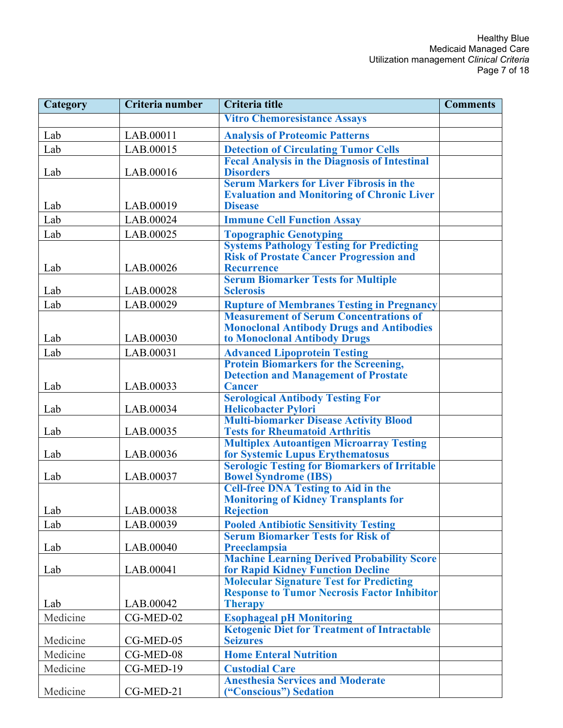| Category | Criteria number | <b>Criteria title</b>                                                                             | <b>Comments</b> |
|----------|-----------------|---------------------------------------------------------------------------------------------------|-----------------|
|          |                 | <b>Vitro Chemoresistance Assays</b>                                                               |                 |
| Lab      | LAB.00011       | <b>Analysis of Proteomic Patterns</b>                                                             |                 |
| Lab      | LAB.00015       | <b>Detection of Circulating Tumor Cells</b>                                                       |                 |
|          |                 | <b>Fecal Analysis in the Diagnosis of Intestinal</b>                                              |                 |
| Lab      | LAB.00016       | <b>Disorders</b>                                                                                  |                 |
|          |                 | <b>Serum Markers for Liver Fibrosis in the</b>                                                    |                 |
| Lab      | LAB.00019       | <b>Evaluation and Monitoring of Chronic Liver</b><br><b>Disease</b>                               |                 |
| Lab      | LAB.00024       | <b>Immune Cell Function Assay</b>                                                                 |                 |
| Lab      | LAB.00025       | <b>Topographic Genotyping</b>                                                                     |                 |
|          |                 | <b>Systems Pathology Testing for Predicting</b>                                                   |                 |
|          |                 | <b>Risk of Prostate Cancer Progression and</b>                                                    |                 |
| Lab      | LAB.00026       | <b>Recurrence</b>                                                                                 |                 |
|          |                 | <b>Serum Biomarker Tests for Multiple</b>                                                         |                 |
| Lab      | LAB.00028       | <b>Sclerosis</b>                                                                                  |                 |
| Lab      | LAB.00029       | <b>Rupture of Membranes Testing in Pregnancy</b><br><b>Measurement of Serum Concentrations of</b> |                 |
|          |                 | <b>Monoclonal Antibody Drugs and Antibodies</b>                                                   |                 |
| Lab      | LAB.00030       | to Monoclonal Antibody Drugs                                                                      |                 |
| Lab      | LAB.00031       | <b>Advanced Lipoprotein Testing</b>                                                               |                 |
|          |                 | <b>Protein Biomarkers for the Screening,</b>                                                      |                 |
|          |                 | <b>Detection and Management of Prostate</b>                                                       |                 |
| Lab      | LAB.00033       | <b>Cancer</b>                                                                                     |                 |
|          |                 | <b>Serological Antibody Testing For</b>                                                           |                 |
| Lab      | LAB.00034       | <b>Helicobacter Pylori</b><br><b>Multi-biomarker Disease Activity Blood</b>                       |                 |
| Lab      | LAB.00035       | <b>Tests for Rheumatoid Arthritis</b>                                                             |                 |
|          |                 | <b>Multiplex Autoantigen Microarray Testing</b>                                                   |                 |
| Lab      | LAB.00036       | for Systemic Lupus Erythematosus                                                                  |                 |
|          |                 | <b>Serologic Testing for Biomarkers of Irritable</b>                                              |                 |
| Lab      | LAB.00037       | <b>Bowel Syndrome (IBS)</b><br><b>Cell-free DNA Testing to Aid in the</b>                         |                 |
|          |                 | <b>Monitoring of Kidney Transplants for</b>                                                       |                 |
| Lab      | LAB.00038       | <b>Rejection</b>                                                                                  |                 |
| Lab      | LAB.00039       | <b>Pooled Antibiotic Sensitivity Testing</b>                                                      |                 |
|          |                 | <b>Serum Biomarker Tests for Risk of</b>                                                          |                 |
| Lab      | LAB.00040       | Preeclampsia                                                                                      |                 |
|          | LAB.00041       | <b>Machine Learning Derived Probability Score</b>                                                 |                 |
| Lab      |                 | <b>for Rapid Kidney Function Decline</b><br><b>Molecular Signature Test for Predicting</b>        |                 |
|          |                 | <b>Response to Tumor Necrosis Factor Inhibitor</b>                                                |                 |
| Lab      | LAB.00042       | <b>Therapy</b>                                                                                    |                 |
| Medicine | $CG-MED-02$     | <b>Esophageal pH Monitoring</b>                                                                   |                 |
|          |                 | <b>Ketogenic Diet for Treatment of Intractable</b>                                                |                 |
| Medicine | CG-MED-05       | <b>Seizures</b>                                                                                   |                 |
| Medicine | CG-MED-08       | <b>Home Enteral Nutrition</b>                                                                     |                 |
| Medicine | CG-MED-19       | <b>Custodial Care</b>                                                                             |                 |
| Medicine | CG-MED-21       | <b>Anesthesia Services and Moderate</b>                                                           |                 |
|          |                 | ("Conscious") Sedation                                                                            |                 |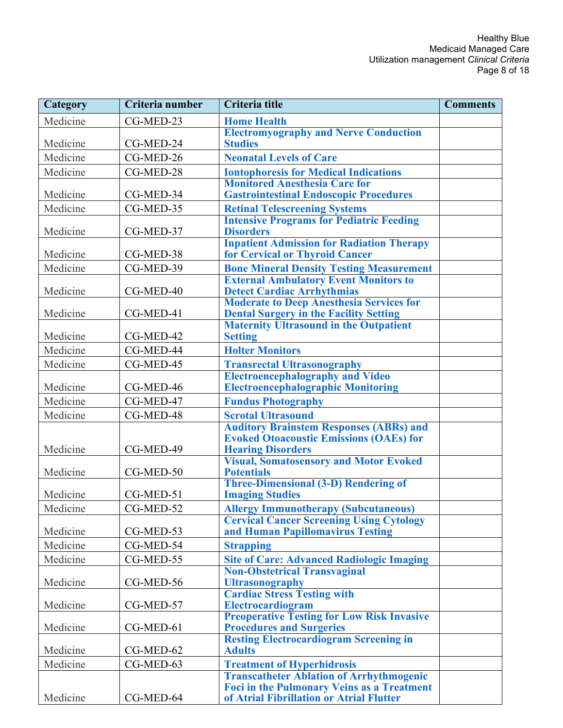| Category | Criteria number | <b>Criteria title</b>                                                                | <b>Comments</b> |
|----------|-----------------|--------------------------------------------------------------------------------------|-----------------|
| Medicine | CG-MED-23       | <b>Home Health</b>                                                                   |                 |
|          |                 | <b>Electromyography and Nerve Conduction</b>                                         |                 |
| Medicine | CG-MED-24       | <b>Studies</b>                                                                       |                 |
| Medicine | $CG-MED-26$     | <b>Neonatal Levels of Care</b>                                                       |                 |
| Medicine | CG-MED-28       | <b>Iontophoresis for Medical Indications</b>                                         |                 |
|          |                 | <b>Monitored Anesthesia Care for</b>                                                 |                 |
| Medicine | CG-MED-34       | <b>Gastrointestinal Endoscopic Procedures</b>                                        |                 |
| Medicine | CG-MED-35       | <b>Retinal Telescreening Systems</b>                                                 |                 |
|          |                 | <b>Intensive Programs for Pediatric Feeding</b>                                      |                 |
| Medicine | CG-MED-37       | <b>Disorders</b>                                                                     |                 |
| Medicine | CG-MED-38       | <b>Inpatient Admission for Radiation Therapy</b><br>for Cervical or Thyroid Cancer   |                 |
| Medicine | CG-MED-39       | <b>Bone Mineral Density Testing Measurement</b>                                      |                 |
|          |                 | <b>External Ambulatory Event Monitors to</b>                                         |                 |
| Medicine | CG-MED-40       | <b>Detect Cardiac Arrhythmias</b>                                                    |                 |
|          |                 | <b>Moderate to Deep Anesthesia Services for</b>                                      |                 |
| Medicine | CG-MED-41       | <b>Dental Surgery in the Facility Setting</b>                                        |                 |
|          |                 | <b>Maternity Ultrasound in the Outpatient</b>                                        |                 |
| Medicine | CG-MED-42       | <b>Setting</b>                                                                       |                 |
| Medicine | CG-MED-44       | <b>Holter Monitors</b>                                                               |                 |
| Medicine | CG-MED-45       | <b>Transrectal Ultrasonography</b>                                                   |                 |
|          |                 | <b>Electroencephalography and Video</b>                                              |                 |
| Medicine | CG-MED-46       | <b>Electroencephalographic Monitoring</b>                                            |                 |
| Medicine | CG-MED-47       | <b>Fundus Photography</b>                                                            |                 |
| Medicine | CG-MED-48       | <b>Scrotal Ultrasound</b>                                                            |                 |
|          |                 | <b>Auditory Brainstem Responses (ABRs) and</b>                                       |                 |
|          |                 | <b>Evoked Otoacoustic Emissions (OAEs) for</b>                                       |                 |
| Medicine | CG-MED-49       | <b>Hearing Disorders</b><br><b>Visual, Somatosensory and Motor Evoked</b>            |                 |
| Medicine | CG-MED-50       | <b>Potentials</b>                                                                    |                 |
|          |                 | <b>Three-Dimensional (3-D) Rendering of</b>                                          |                 |
| Medicine | CG-MED-51       | <b>Imaging Studies</b>                                                               |                 |
| Medicine | CG-MED-52       | <b>Allergy Immunotherapy (Subcutaneous)</b>                                          |                 |
|          |                 | <b>Cervical Cancer Screening Using Cytology</b>                                      |                 |
| Medicine | CG-MED-53       | and Human Papillomavirus Testing                                                     |                 |
| Medicine | CG-MED-54       | <b>Strapping</b>                                                                     |                 |
| Medicine | CG-MED-55       | <b>Site of Care: Advanced Radiologic Imaging</b>                                     |                 |
|          |                 | <b>Non-Obstetrical Transvaginal</b>                                                  |                 |
| Medicine | CG-MED-56       | Ultrasonography                                                                      |                 |
|          |                 | <b>Cardiac Stress Testing with</b>                                                   |                 |
| Medicine | CG-MED-57       | Electrocardiogram                                                                    |                 |
| Medicine | CG-MED-61       | <b>Preoperative Testing for Low Risk Invasive</b><br><b>Procedures and Surgeries</b> |                 |
|          |                 | <b>Resting Electrocardiogram Screening in</b>                                        |                 |
| Medicine | CG-MED-62       | <b>Adults</b>                                                                        |                 |
| Medicine | CG-MED-63       | <b>Treatment of Hyperhidrosis</b>                                                    |                 |
|          |                 | <b>Transcatheter Ablation of Arrhythmogenic</b>                                      |                 |
|          |                 | Foci in the Pulmonary Veins as a Treatment                                           |                 |
| Medicine | CG-MED-64       | of Atrial Fibrillation or Atrial Flutter                                             |                 |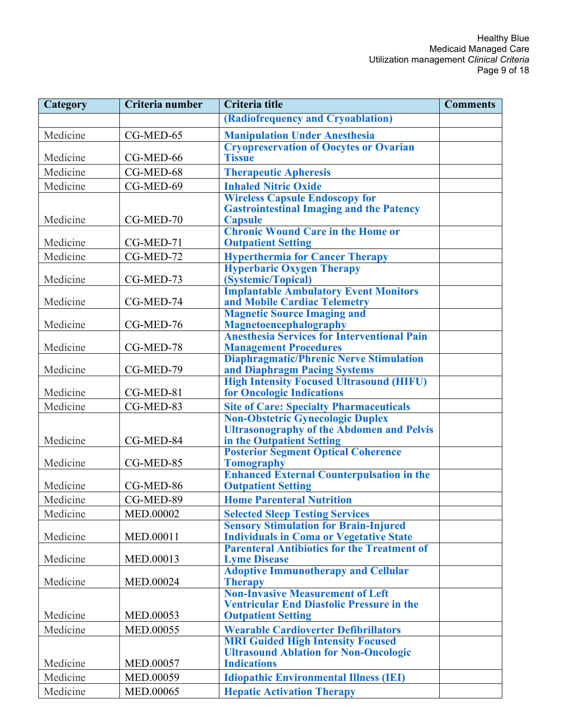| Category | Criteria number | Criteria title                                                                | <b>Comments</b> |
|----------|-----------------|-------------------------------------------------------------------------------|-----------------|
|          |                 | (Radiofrequency and Cryoablation)                                             |                 |
| Medicine | CG-MED-65       | <b>Manipulation Under Anesthesia</b>                                          |                 |
|          |                 | <b>Cryopreservation of Oocytes or Ovarian</b>                                 |                 |
| Medicine | CG-MED-66       | <b>Tissue</b>                                                                 |                 |
| Medicine | CG-MED-68       | <b>Therapeutic Apheresis</b>                                                  |                 |
| Medicine | CG-MED-69       | <b>Inhaled Nitric Oxide</b>                                                   |                 |
|          |                 | <b>Wireless Capsule Endoscopy for</b>                                         |                 |
|          |                 | <b>Gastrointestinal Imaging and the Patency</b>                               |                 |
| Medicine | CG-MED-70       | <b>Capsule</b><br><b>Chronic Wound Care in the Home or</b>                    |                 |
| Medicine | CG-MED-71       | <b>Outpatient Setting</b>                                                     |                 |
| Medicine | CG-MED-72       |                                                                               |                 |
|          |                 | <b>Hyperthermia for Cancer Therapy</b><br><b>Hyperbaric Oxygen Therapy</b>    |                 |
| Medicine | CG-MED-73       | (Systemic/Topical)                                                            |                 |
|          |                 | <b>Implantable Ambulatory Event Monitors</b>                                  |                 |
| Medicine | CG-MED-74       | and Mobile Cardiac Telemetry                                                  |                 |
|          |                 | <b>Magnetic Source Imaging and</b>                                            |                 |
| Medicine | CG-MED-76       | Magnetoencephalography<br><b>Anesthesia Services for Interventional Pain</b>  |                 |
| Medicine | CG-MED-78       | <b>Management Procedures</b>                                                  |                 |
|          |                 | <b>Diaphragmatic/Phrenic Nerve Stimulation</b>                                |                 |
| Medicine | CG-MED-79       | and Diaphragm Pacing Systems                                                  |                 |
|          |                 | <b>High Intensity Focused Ultrasound (HIFU)</b>                               |                 |
| Medicine | CG-MED-81       | for Oncologic Indications                                                     |                 |
| Medicine | CG-MED-83       | <b>Site of Care: Specialty Pharmaceuticals</b>                                |                 |
|          |                 | <b>Non-Obstetric Gynecologic Duplex</b>                                       |                 |
| Medicine | CG-MED-84       | <b>Ultrasonography of the Abdomen and Pelvis</b><br>in the Outpatient Setting |                 |
|          |                 | <b>Posterior Segment Optical Coherence</b>                                    |                 |
| Medicine | CG-MED-85       | <b>Tomography</b>                                                             |                 |
|          |                 | <b>Enhanced External Counterpulsation in the</b>                              |                 |
| Medicine | CG-MED-86       | <b>Outpatient Setting</b>                                                     |                 |
| Medicine | CG-MED-89       | <b>Home Parenteral Nutrition</b>                                              |                 |
| Medicine | MED.00002       | <b>Selected Sleep Testing Services</b>                                        |                 |
|          |                 | <b>Sensory Stimulation for Brain-Injured</b>                                  |                 |
| Medicine | MED.00011       | <b>Individuals in Coma or Vegetative State</b>                                |                 |
| Medicine | MED.00013       | <b>Parenteral Antibiotics for the Treatment of</b><br><b>Lyme Disease</b>     |                 |
|          |                 | <b>Adoptive Immunotherapy and Cellular</b>                                    |                 |
| Medicine | MED.00024       | <b>Therapy</b>                                                                |                 |
|          |                 | <b>Non-Invasive Measurement of Left</b>                                       |                 |
|          |                 | <b>Ventricular End Diastolic Pressure in the</b>                              |                 |
| Medicine | MED.00053       | <b>Outpatient Setting</b>                                                     |                 |
| Medicine | MED.00055       | <b>Wearable Cardioverter Defibrillators</b>                                   |                 |
|          |                 | <b>MRI Guided High Intensity Focused</b>                                      |                 |
| Medicine | MED.00057       | <b>Ultrasound Ablation for Non-Oncologic</b><br><b>Indications</b>            |                 |
| Medicine | MED.00059       | <b>Idiopathic Environmental Illness (IEI)</b>                                 |                 |
| Medicine |                 |                                                                               |                 |
|          | MED.00065       | <b>Hepatic Activation Therapy</b>                                             |                 |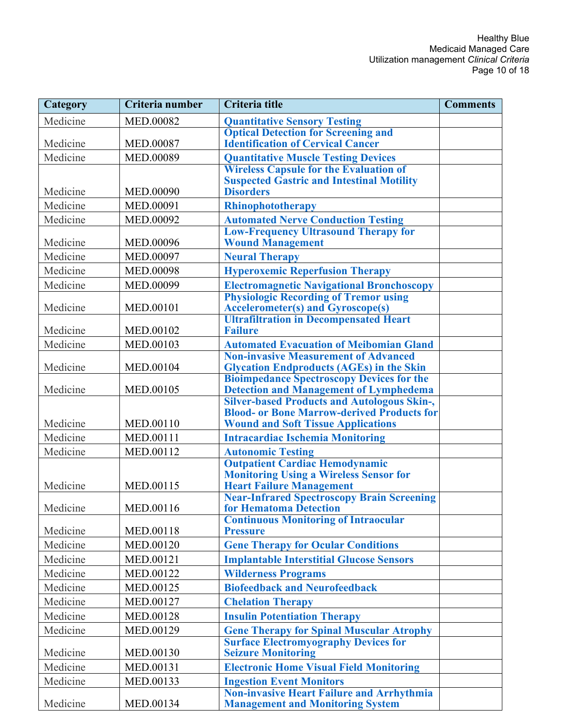| Category | Criteria number  | Criteria title                                                                                    | <b>Comments</b> |
|----------|------------------|---------------------------------------------------------------------------------------------------|-----------------|
| Medicine | MED.00082        | <b>Quantitative Sensory Testing</b>                                                               |                 |
|          |                  | <b>Optical Detection for Screening and</b>                                                        |                 |
| Medicine | MED.00087        | <b>Identification of Cervical Cancer</b>                                                          |                 |
| Medicine | MED.00089        | <b>Quantitative Muscle Testing Devices</b>                                                        |                 |
|          |                  | <b>Wireless Capsule for the Evaluation of</b><br><b>Suspected Gastric and Intestinal Motility</b> |                 |
| Medicine | MED.00090        | <b>Disorders</b>                                                                                  |                 |
| Medicine | MED.00091        | Rhinophototherapy                                                                                 |                 |
| Medicine | MED.00092        | <b>Automated Nerve Conduction Testing</b>                                                         |                 |
|          |                  | <b>Low-Frequency Ultrasound Therapy for</b>                                                       |                 |
| Medicine | MED.00096        | <b>Wound Management</b>                                                                           |                 |
| Medicine | MED.00097        | <b>Neural Therapy</b>                                                                             |                 |
| Medicine | <b>MED.00098</b> | <b>Hyperoxemic Reperfusion Therapy</b>                                                            |                 |
| Medicine | MED.00099        | <b>Electromagnetic Navigational Bronchoscopy</b>                                                  |                 |
|          |                  | <b>Physiologic Recording of Tremor using</b>                                                      |                 |
| Medicine | MED.00101        | <b>Accelerometer(s) and Gyroscope(s)</b><br><b>Ultrafiltration in Decompensated Heart</b>         |                 |
| Medicine | MED.00102        | <b>Failure</b>                                                                                    |                 |
| Medicine | MED.00103        | <b>Automated Evacuation of Meibomian Gland</b>                                                    |                 |
|          |                  | <b>Non-invasive Measurement of Advanced</b>                                                       |                 |
| Medicine | MED.00104        | <b>Glycation Endproducts (AGEs) in the Skin</b>                                                   |                 |
|          |                  | <b>Bioimpedance Spectroscopy Devices for the</b>                                                  |                 |
| Medicine | MED.00105        | <b>Detection and Management of Lymphedema<br/>Silver-based Products and Autologous Skin-,</b>     |                 |
|          |                  | <b>Blood- or Bone Marrow-derived Products for</b>                                                 |                 |
| Medicine | MED.00110        | <b>Wound and Soft Tissue Applications</b>                                                         |                 |
| Medicine | MED.00111        | <b>Intracardiac Ischemia Monitoring</b>                                                           |                 |
| Medicine | MED.00112        | <b>Autonomic Testing</b>                                                                          |                 |
|          |                  | <b>Outpatient Cardiac Hemodynamic</b>                                                             |                 |
|          |                  | <b>Monitoring Using a Wireless Sensor for</b>                                                     |                 |
| Medicine | MED.00115        | <b>Heart Failure Management</b><br><b>Near-Infrared Spectroscopy Brain Screening</b>              |                 |
| Medicine | MED.00116        | for Hematoma Detection                                                                            |                 |
|          |                  | <b>Continuous Monitoring of Intraocular</b>                                                       |                 |
| Medicine | MED.00118        | <b>Pressure</b>                                                                                   |                 |
| Medicine | MED.00120        | <b>Gene Therapy for Ocular Conditions</b>                                                         |                 |
| Medicine | MED.00121        | <b>Implantable Interstitial Glucose Sensors</b>                                                   |                 |
| Medicine | MED.00122        | <b>Wilderness Programs</b>                                                                        |                 |
| Medicine | MED.00125        | <b>Biofeedback and Neurofeedback</b>                                                              |                 |
| Medicine | MED.00127        | <b>Chelation Therapy</b>                                                                          |                 |
| Medicine | MED.00128        | <b>Insulin Potentiation Therapy</b>                                                               |                 |
| Medicine | MED.00129        | <b>Gene Therapy for Spinal Muscular Atrophy</b>                                                   |                 |
|          |                  | <b>Surface Electromyography Devices for</b>                                                       |                 |
| Medicine | MED.00130        | <b>Seizure Monitoring</b>                                                                         |                 |
| Medicine | MED.00131        | <b>Electronic Home Visual Field Monitoring</b>                                                    |                 |
| Medicine | MED.00133        | <b>Ingestion Event Monitors</b><br><b>Non-invasive Heart Failure and Arrhythmia</b>               |                 |
| Medicine | MED.00134        | <b>Management and Monitoring System</b>                                                           |                 |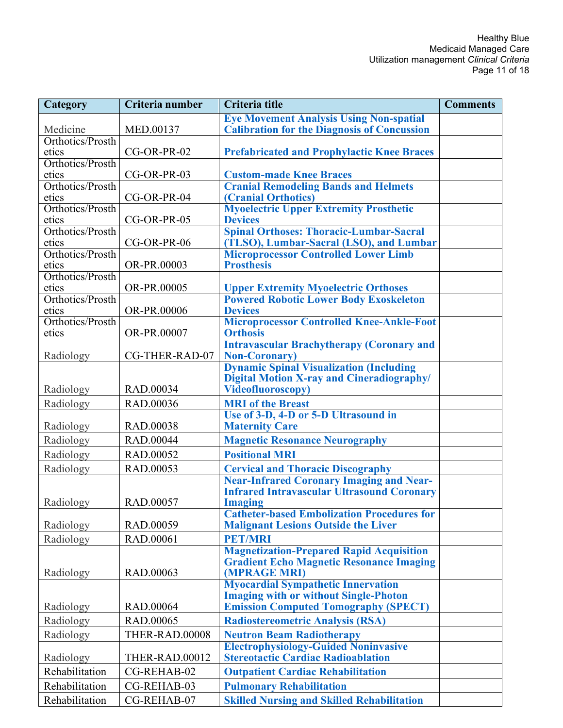| Category                  | Criteria number  | Criteria title                                                      | <b>Comments</b> |
|---------------------------|------------------|---------------------------------------------------------------------|-----------------|
|                           |                  | <b>Eye Movement Analysis Using Non-spatial</b>                      |                 |
| Medicine                  | MED.00137        | <b>Calibration for the Diagnosis of Concussion</b>                  |                 |
| Orthotics/Prosth          |                  |                                                                     |                 |
| etics                     | CG-OR-PR-02      | <b>Prefabricated and Prophylactic Knee Braces</b>                   |                 |
| Orthotics/Prosth          |                  |                                                                     |                 |
| etics                     | CG-OR-PR-03      | <b>Custom-made Knee Braces</b>                                      |                 |
| Orthotics/Prosth<br>etics | CG-OR-PR-04      | <b>Cranial Remodeling Bands and Helmets</b><br>(Cranial Orthotics)  |                 |
| Orthotics/Prosth          |                  | <b>Myoelectric Upper Extremity Prosthetic</b>                       |                 |
| etics                     | CG-OR-PR-05      | <b>Devices</b>                                                      |                 |
| Orthotics/Prosth          |                  | <b>Spinal Orthoses: Thoracic-Lumbar-Sacral</b>                      |                 |
| etics                     | CG-OR-PR-06      | (TLSO), Lumbar-Sacral (LSO), and Lumbar                             |                 |
| Orthotics/Prosth          |                  | <b>Microprocessor Controlled Lower Limb</b>                         |                 |
| etics                     | OR-PR.00003      | <b>Prosthesis</b>                                                   |                 |
| Orthotics/Prosth          |                  |                                                                     |                 |
| etics                     | OR-PR.00005      | <b>Upper Extremity Myoelectric Orthoses</b>                         |                 |
| Orthotics/Prosth          |                  | <b>Powered Robotic Lower Body Exoskeleton</b>                       |                 |
| etics                     | OR-PR.00006      | <b>Devices</b>                                                      |                 |
| Orthotics/Prosth          |                  | <b>Microprocessor Controlled Knee-Ankle-Foot</b>                    |                 |
| etics                     | OR-PR.00007      | <b>Orthosis</b><br><b>Intravascular Brachytherapy (Coronary and</b> |                 |
| Radiology                 | CG-THER-RAD-07   | <b>Non-Coronary</b> )                                               |                 |
|                           |                  | <b>Dynamic Spinal Visualization (Including</b>                      |                 |
|                           |                  | <b>Digital Motion X-ray and Cineradiography/</b>                    |                 |
| Radiology                 | RAD.00034        | <b>Videofluoroscopy)</b>                                            |                 |
| Radiology                 | RAD.00036        | <b>MRI</b> of the Breast                                            |                 |
|                           |                  | Use of 3-D, 4-D or 5-D Ultrasound in                                |                 |
| Radiology                 | <b>RAD.00038</b> | <b>Maternity Care</b>                                               |                 |
| Radiology                 | <b>RAD.00044</b> | <b>Magnetic Resonance Neurography</b>                               |                 |
| Radiology                 | RAD.00052        | <b>Positional MRI</b>                                               |                 |
| Radiology                 | RAD.00053        | <b>Cervical and Thoracic Discography</b>                            |                 |
|                           |                  | <b>Near-Infrared Coronary Imaging and Near-</b>                     |                 |
|                           |                  | <b>Infrared Intravascular Ultrasound Coronary</b>                   |                 |
| Radiology                 | RAD.00057        | <b>Imaging</b>                                                      |                 |
|                           |                  | <b>Catheter-based Embolization Procedures for</b>                   |                 |
| Radiology                 | RAD.00059        | <b>Malignant Lesions Outside the Liver</b>                          |                 |
| Radiology                 | RAD.00061        | <b>PET/MRI</b>                                                      |                 |
|                           |                  | <b>Magnetization-Prepared Rapid Acquisition</b>                     |                 |
|                           |                  | <b>Gradient Echo Magnetic Resonance Imaging</b>                     |                 |
| Radiology                 | RAD.00063        | (MPRAGE MRI)                                                        |                 |
|                           |                  | <b>Myocardial Sympathetic Innervation</b>                           |                 |
|                           |                  | <b>Imaging with or without Single-Photon</b>                        |                 |
| Radiology                 | RAD.00064        | <b>Emission Computed Tomography (SPECT)</b>                         |                 |
| Radiology                 | RAD.00065        | <b>Radiostereometric Analysis (RSA)</b>                             |                 |
| Radiology                 | THER-RAD.00008   | <b>Neutron Beam Radiotherapy</b>                                    |                 |
|                           |                  | <b>Electrophysiology-Guided Noninvasive</b>                         |                 |
| Radiology                 | THER-RAD.00012   | <b>Stereotactic Cardiac Radioablation</b>                           |                 |
| Rehabilitation            | CG-REHAB-02      | <b>Outpatient Cardiac Rehabilitation</b>                            |                 |
| Rehabilitation            | CG-REHAB-03      | <b>Pulmonary Rehabilitation</b>                                     |                 |
| Rehabilitation            | CG-REHAB-07      | <b>Skilled Nursing and Skilled Rehabilitation</b>                   |                 |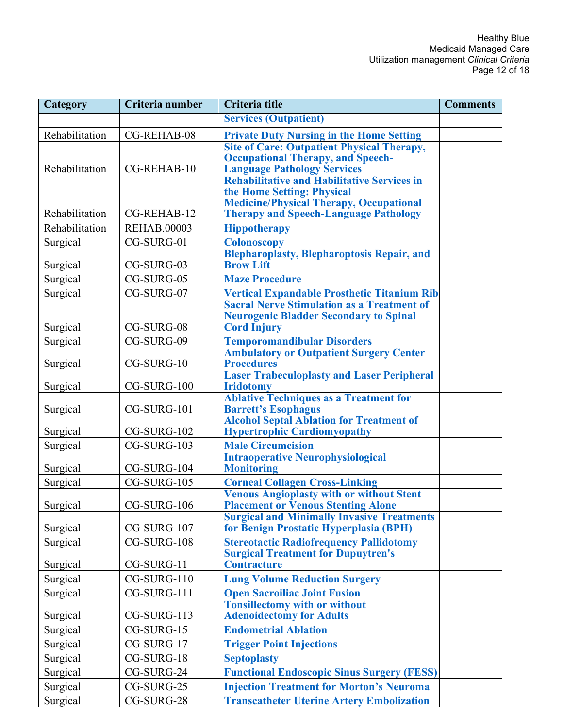| Category       | Criteria number    | <b>Criteria title</b>                                                                          | <b>Comments</b> |
|----------------|--------------------|------------------------------------------------------------------------------------------------|-----------------|
|                |                    | <b>Services (Outpatient)</b>                                                                   |                 |
| Rehabilitation | CG-REHAB-08        | <b>Private Duty Nursing in the Home Setting</b>                                                |                 |
|                |                    | <b>Site of Care: Outpatient Physical Therapy,</b>                                              |                 |
|                |                    | <b>Occupational Therapy, and Speech-</b>                                                       |                 |
| Rehabilitation | CG-REHAB-10        | <b>Language Pathology Services</b><br>Rehabilitative and Habilitative Services in              |                 |
|                |                    | the Home Setting: Physical                                                                     |                 |
|                |                    | <b>Medicine/Physical Therapy, Occupational</b>                                                 |                 |
| Rehabilitation | CG-REHAB-12        | <b>Therapy and Speech-Language Pathology</b>                                                   |                 |
| Rehabilitation | <b>REHAB.00003</b> | <b>Hippotherapy</b>                                                                            |                 |
| Surgical       | CG-SURG-01         | <b>Colonoscopy</b>                                                                             |                 |
|                |                    | <b>Blepharoplasty, Blepharoptosis Repair, and</b>                                              |                 |
| Surgical       | CG-SURG-03         | <b>Brow Lift</b>                                                                               |                 |
| Surgical       | CG-SURG-05         | <b>Maze Procedure</b>                                                                          |                 |
| Surgical       | CG-SURG-07         | <b>Vertical Expandable Prosthetic Titanium Rib</b>                                             |                 |
|                |                    | <b>Sacral Nerve Stimulation as a Treatment of</b>                                              |                 |
| Surgical       | CG-SURG-08         | <b>Neurogenic Bladder Secondary to Spinal</b><br><b>Cord Injury</b>                            |                 |
|                | CG-SURG-09         | <b>Temporomandibular Disorders</b>                                                             |                 |
| Surgical       |                    | <b>Ambulatory or Outpatient Surgery Center</b>                                                 |                 |
| Surgical       | CG-SURG-10         | <b>Procedures</b>                                                                              |                 |
|                |                    | <b>Laser Trabeculoplasty and Laser Peripheral</b>                                              |                 |
| Surgical       | CG-SURG-100        | <b>Iridotomy</b>                                                                               |                 |
|                |                    | <b>Ablative Techniques as a Treatment for</b>                                                  |                 |
| Surgical       | CG-SURG-101        | <b>Barrett's Esophagus</b><br><b>Alcohol Septal Ablation for Treatment of</b>                  |                 |
| Surgical       | CG-SURG-102        | <b>Hypertrophic Cardiomyopathy</b>                                                             |                 |
| Surgical       | CG-SURG-103        | <b>Male Circumcision</b>                                                                       |                 |
|                |                    | <b>Intraoperative Neurophysiological</b>                                                       |                 |
| Surgical       | CG-SURG-104        | <b>Monitoring</b>                                                                              |                 |
| Surgical       | CG-SURG-105        | <b>Corneal Collagen Cross-Linking</b>                                                          |                 |
|                |                    | <b>Venous Angioplasty with or without Stent</b>                                                |                 |
| Surgical       | CG-SURG-106        | <b>Placement or Venous Stenting Alone</b><br><b>Surgical and Minimally Invasive Treatments</b> |                 |
| Surgical       | CG-SURG-107        | for Benign Prostatic Hyperplasia (BPH)                                                         |                 |
| Surgical       | CG-SURG-108        | <b>Stereotactic Radiofrequency Pallidotomy</b>                                                 |                 |
|                |                    | <b>Surgical Treatment for Dupuytren's</b>                                                      |                 |
| Surgical       | CG-SURG-11         | <b>Contracture</b>                                                                             |                 |
| Surgical       | CG-SURG-110        | <b>Lung Volume Reduction Surgery</b>                                                           |                 |
| Surgical       | CG-SURG-111        | <b>Open Sacroiliac Joint Fusion</b>                                                            |                 |
|                |                    | <b>Tonsillectomy with or without</b>                                                           |                 |
| Surgical       | CG-SURG-113        | <b>Adenoidectomy for Adults</b>                                                                |                 |
| Surgical       | CG-SURG-15         | <b>Endometrial Ablation</b>                                                                    |                 |
| Surgical       | CG-SURG-17         | <b>Trigger Point Injections</b>                                                                |                 |
| Surgical       | CG-SURG-18         | <b>Septoplasty</b>                                                                             |                 |
| Surgical       | CG-SURG-24         | <b>Functional Endoscopic Sinus Surgery (FESS)</b>                                              |                 |
| Surgical       | CG-SURG-25         | <b>Injection Treatment for Morton's Neuroma</b>                                                |                 |
| Surgical       | CG-SURG-28         | <b>Transcatheter Uterine Artery Embolization</b>                                               |                 |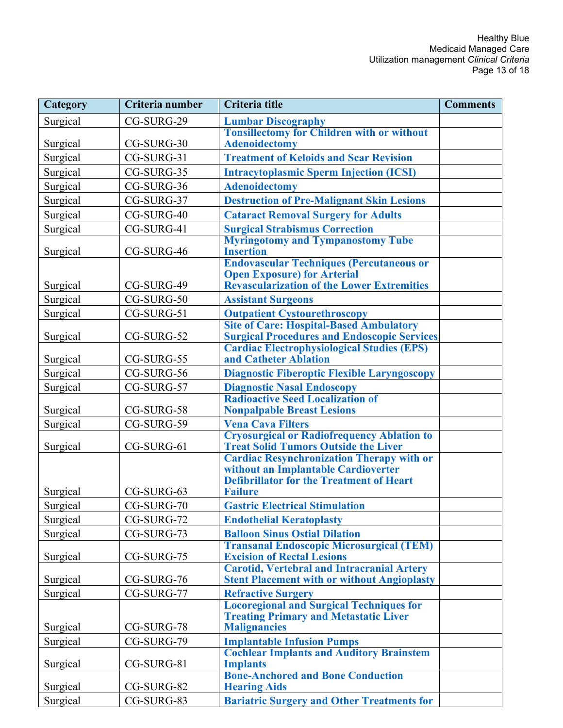| Category | Criteria number | <b>Criteria title</b>                                                                            | <b>Comments</b> |
|----------|-----------------|--------------------------------------------------------------------------------------------------|-----------------|
| Surgical | CG-SURG-29      | <b>Lumbar Discography</b>                                                                        |                 |
|          |                 | <b>Tonsillectomy for Children with or without</b>                                                |                 |
| Surgical | CG-SURG-30      | <b>Adenoidectomy</b>                                                                             |                 |
| Surgical | CG-SURG-31      | <b>Treatment of Keloids and Scar Revision</b>                                                    |                 |
| Surgical | CG-SURG-35      | <b>Intracytoplasmic Sperm Injection (ICSI)</b>                                                   |                 |
| Surgical | CG-SURG-36      | <b>Adenoidectomy</b>                                                                             |                 |
| Surgical | CG-SURG-37      | <b>Destruction of Pre-Malignant Skin Lesions</b>                                                 |                 |
| Surgical | CG-SURG-40      | <b>Cataract Removal Surgery for Adults</b>                                                       |                 |
| Surgical | CG-SURG-41      | <b>Surgical Strabismus Correction</b>                                                            |                 |
|          |                 | <b>Myringotomy and Tympanostomy Tube</b>                                                         |                 |
| Surgical | CG-SURG-46      | <b>Insertion</b>                                                                                 |                 |
|          |                 | <b>Endovascular Techniques (Percutaneous or</b>                                                  |                 |
| Surgical | CG-SURG-49      | <b>Open Exposure) for Arterial</b><br><b>Revascularization of the Lower Extremities</b>          |                 |
| Surgical | CG-SURG-50      | <b>Assistant Surgeons</b>                                                                        |                 |
| Surgical | CG-SURG-51      |                                                                                                  |                 |
|          |                 | <b>Outpatient Cystourethroscopy</b><br><b>Site of Care: Hospital-Based Ambulatory</b>            |                 |
| Surgical | CG-SURG-52      | <b>Surgical Procedures and Endoscopic Services</b>                                               |                 |
|          |                 | <b>Cardiac Electrophysiological Studies (EPS)</b>                                                |                 |
| Surgical | CG-SURG-55      | and Catheter Ablation                                                                            |                 |
| Surgical | CG-SURG-56      | <b>Diagnostic Fiberoptic Flexible Laryngoscopy</b>                                               |                 |
| Surgical | CG-SURG-57      | <b>Diagnostic Nasal Endoscopy</b>                                                                |                 |
|          |                 | <b>Radioactive Seed Localization of</b>                                                          |                 |
| Surgical | CG-SURG-58      | <b>Nonpalpable Breast Lesions</b>                                                                |                 |
| Surgical | CG-SURG-59      | <b>Vena Cava Filters</b>                                                                         |                 |
| Surgical | CG-SURG-61      | <b>Cryosurgical or Radiofrequency Ablation to</b><br><b>Treat Solid Tumors Outside the Liver</b> |                 |
|          |                 | <b>Cardiac Resynchronization Therapy with or</b>                                                 |                 |
|          |                 | without an Implantable Cardioverter                                                              |                 |
|          |                 | <b>Defibrillator for the Treatment of Heart</b>                                                  |                 |
| Surgical | CG-SURG-63      | <b>Failure</b>                                                                                   |                 |
| Surgical | CG-SURG-70      | <b>Gastric Electrical Stimulation</b>                                                            |                 |
| Surgical | CG-SURG-72      | <b>Endothelial Keratoplasty</b>                                                                  |                 |
| Surgical | CG-SURG-73      | <b>Balloon Sinus Ostial Dilation</b>                                                             |                 |
|          |                 | <b>Transanal Endoscopic Microsurgical (TEM)</b>                                                  |                 |
| Surgical | CG-SURG-75      | <b>Excision of Rectal Lesions</b><br><b>Carotid, Vertebral and Intracranial Artery</b>           |                 |
| Surgical | CG-SURG-76      | <b>Stent Placement with or without Angioplasty</b>                                               |                 |
| Surgical | CG-SURG-77      | <b>Refractive Surgery</b>                                                                        |                 |
|          |                 | <b>Locoregional and Surgical Techniques for</b>                                                  |                 |
|          |                 | <b>Treating Primary and Metastatic Liver</b>                                                     |                 |
| Surgical | CG-SURG-78      | <b>Malignancies</b>                                                                              |                 |
| Surgical | CG-SURG-79      | <b>Implantable Infusion Pumps</b>                                                                |                 |
|          |                 | <b>Cochlear Implants and Auditory Brainstem</b>                                                  |                 |
| Surgical | CG-SURG-81      | <b>Implants</b><br><b>Bone-Anchored and Bone Conduction</b>                                      |                 |
| Surgical | CG-SURG-82      | <b>Hearing Aids</b>                                                                              |                 |
| Surgical | CG-SURG-83      | <b>Bariatric Surgery and Other Treatments for</b>                                                |                 |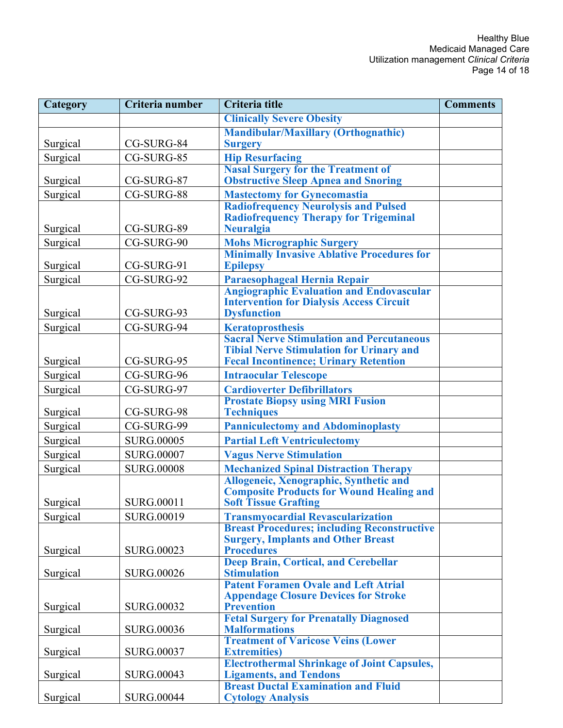| <b>Category</b> | Criteria number   | Criteria title                                                                                  | <b>Comments</b> |
|-----------------|-------------------|-------------------------------------------------------------------------------------------------|-----------------|
|                 |                   | <b>Clinically Severe Obesity</b>                                                                |                 |
|                 |                   | <b>Mandibular/Maxillary (Orthognathic)</b>                                                      |                 |
| Surgical        | CG-SURG-84        | <b>Surgery</b>                                                                                  |                 |
| Surgical        | CG-SURG-85        | <b>Hip Resurfacing</b>                                                                          |                 |
|                 |                   | <b>Nasal Surgery for the Treatment of</b>                                                       |                 |
| Surgical        | CG-SURG-87        | <b>Obstructive Sleep Apnea and Snoring</b>                                                      |                 |
| Surgical        | CG-SURG-88        | <b>Mastectomy for Gynecomastia</b>                                                              |                 |
|                 |                   | <b>Radiofrequency Neurolysis and Pulsed</b>                                                     |                 |
| Surgical        | CG-SURG-89        | <b>Radiofrequency Therapy for Trigeminal</b><br><b>Neuralgia</b>                                |                 |
| Surgical        | CG-SURG-90        |                                                                                                 |                 |
|                 |                   | <b>Mohs Micrographic Surgery<br/>Minimally Invasive Ablative Procedures for</b>                 |                 |
| Surgical        | CG-SURG-91        | <b>Epilepsy</b>                                                                                 |                 |
| Surgical        | CG-SURG-92        | Paraesophageal Hernia Repair                                                                    |                 |
|                 |                   | <b>Angiographic Evaluation and Endovascular</b>                                                 |                 |
|                 |                   | <b>Intervention for Dialysis Access Circuit</b>                                                 |                 |
| Surgical        | CG-SURG-93        | <b>Dysfunction</b>                                                                              |                 |
| Surgical        | CG-SURG-94        | <b>Keratoprosthesis</b>                                                                         |                 |
|                 |                   | <b>Sacral Nerve Stimulation and Percutaneous</b>                                                |                 |
| Surgical        | CG-SURG-95        | <b>Tibial Nerve Stimulation for Urinary and</b><br><b>Fecal Incontinence; Urinary Retention</b> |                 |
|                 |                   |                                                                                                 |                 |
| Surgical        | CG-SURG-96        | <b>Intraocular Telescope</b>                                                                    |                 |
| Surgical        | CG-SURG-97        | <b>Cardioverter Defibrillators</b>                                                              |                 |
| Surgical        | CG-SURG-98        | <b>Prostate Biopsy using MRI Fusion</b><br><b>Techniques</b>                                    |                 |
| Surgical        | CG-SURG-99        | <b>Panniculectomy and Abdominoplasty</b>                                                        |                 |
| Surgical        | <b>SURG.00005</b> | <b>Partial Left Ventriculectomy</b>                                                             |                 |
|                 |                   |                                                                                                 |                 |
| Surgical        | <b>SURG.00007</b> | <b>Vagus Nerve Stimulation</b>                                                                  |                 |
| Surgical        | <b>SURG.00008</b> | <b>Mechanized Spinal Distraction Therapy</b>                                                    |                 |
|                 |                   | Allogeneic, Xenographic, Synthetic and<br><b>Composite Products for Wound Healing and</b>       |                 |
| Surgical        | <b>SURG.00011</b> | <b>Soft Tissue Grafting</b>                                                                     |                 |
| Surgical        | <b>SURG.00019</b> | <b>Transmyocardial Revascularization</b>                                                        |                 |
|                 |                   | <b>Breast Procedures; including Reconstructive</b>                                              |                 |
|                 |                   | <b>Surgery, Implants and Other Breast</b>                                                       |                 |
| Surgical        | <b>SURG.00023</b> | <b>Procedures</b>                                                                               |                 |
|                 |                   | <b>Deep Brain, Cortical, and Cerebellar</b>                                                     |                 |
| Surgical        | <b>SURG.00026</b> | <b>Stimulation</b><br><b>Patent Foramen Ovale and Left Atrial</b>                               |                 |
|                 |                   | <b>Appendage Closure Devices for Stroke</b>                                                     |                 |
| Surgical        | <b>SURG.00032</b> | <b>Prevention</b>                                                                               |                 |
|                 |                   | <b>Fetal Surgery for Prenatally Diagnosed</b>                                                   |                 |
| Surgical        | <b>SURG.00036</b> | <b>Malformations</b>                                                                            |                 |
|                 |                   | <b>Treatment of Varicose Veins (Lower</b>                                                       |                 |
| Surgical        | <b>SURG.00037</b> | <b>Extremities</b> )<br><b>Electrothermal Shrinkage of Joint Capsules,</b>                      |                 |
| Surgical        | <b>SURG.00043</b> | <b>Ligaments, and Tendons</b>                                                                   |                 |
|                 |                   | <b>Breast Ductal Examination and Fluid</b>                                                      |                 |
| Surgical        | <b>SURG.00044</b> | <b>Cytology Analysis</b>                                                                        |                 |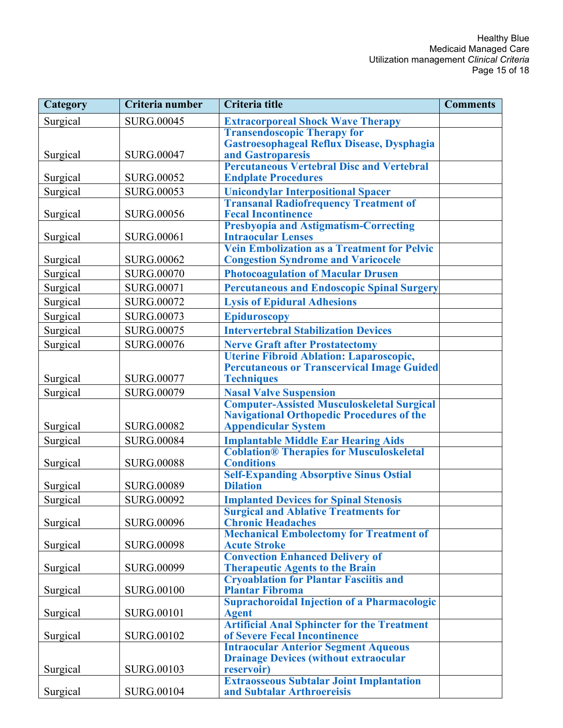| <b>Category</b> | Criteria number   | Criteria title                                                                                        | <b>Comments</b> |
|-----------------|-------------------|-------------------------------------------------------------------------------------------------------|-----------------|
| Surgical        | <b>SURG.00045</b> | <b>Extracorporeal Shock Wave Therapy</b>                                                              |                 |
|                 |                   | <b>Transendoscopic Therapy for</b>                                                                    |                 |
|                 |                   | Gastroesophageal Reflux Disease, Dysphagia                                                            |                 |
| Surgical        | <b>SURG.00047</b> | and Gastroparesis<br><b>Percutaneous Vertebral Disc and Vertebral</b>                                 |                 |
| Surgical        | <b>SURG.00052</b> | <b>Endplate Procedures</b>                                                                            |                 |
| Surgical        | <b>SURG.00053</b> | <b>Unicondylar Interpositional Spacer</b>                                                             |                 |
|                 |                   | <b>Transanal Radiofrequency Treatment of</b>                                                          |                 |
| Surgical        | <b>SURG.00056</b> | <b>Fecal Incontinence</b>                                                                             |                 |
|                 |                   | <b>Presbyopia and Astigmatism-Correcting</b>                                                          |                 |
| Surgical        | <b>SURG.00061</b> | <b>Intraocular Lenses</b><br><b>Vein Embolization as a Treatment for Pelvic</b>                       |                 |
| Surgical        | <b>SURG.00062</b> | <b>Congestion Syndrome and Varicocele</b>                                                             |                 |
| Surgical        | <b>SURG.00070</b> | <b>Photocoagulation of Macular Drusen</b>                                                             |                 |
| Surgical        | <b>SURG.00071</b> | <b>Percutaneous and Endoscopic Spinal Surgery</b>                                                     |                 |
| Surgical        | <b>SURG.00072</b> | <b>Lysis of Epidural Adhesions</b>                                                                    |                 |
| Surgical        | <b>SURG.00073</b> | <b>Epiduroscopy</b>                                                                                   |                 |
| Surgical        | <b>SURG.00075</b> | <b>Intervertebral Stabilization Devices</b>                                                           |                 |
| Surgical        | <b>SURG.00076</b> | <b>Nerve Graft after Prostatectomy</b>                                                                |                 |
|                 |                   | Uterine Fibroid Ablation: Laparoscopic,                                                               |                 |
|                 |                   | <b>Percutaneous or Transcervical Image Guided</b>                                                     |                 |
| Surgical        | <b>SURG.00077</b> | <b>Techniques</b>                                                                                     |                 |
| Surgical        | <b>SURG.00079</b> | <b>Nasal Valve Suspension</b>                                                                         |                 |
|                 |                   | <b>Computer-Assisted Musculoskeletal Surgical</b><br><b>Navigational Orthopedic Procedures of the</b> |                 |
| Surgical        | <b>SURG.00082</b> | <b>Appendicular System</b>                                                                            |                 |
| Surgical        | <b>SURG.00084</b> | <b>Implantable Middle Ear Hearing Aids</b>                                                            |                 |
|                 |                   | <b>Coblation® Therapies for Musculoskeletal</b>                                                       |                 |
| Surgical        | <b>SURG.00088</b> | <b>Conditions</b>                                                                                     |                 |
|                 |                   | <b>Self-Expanding Absorptive Sinus Ostial</b>                                                         |                 |
| Surgical        | <b>SURG.00089</b> | <b>Dilation</b>                                                                                       |                 |
| Surgical        | <b>SURG.00092</b> | <b>Implanted Devices for Spinal Stenosis</b>                                                          |                 |
| Surgical        | <b>SURG.00096</b> | <b>Surgical and Ablative Treatments for</b><br><b>Chronic Headaches</b>                               |                 |
|                 |                   | <b>Mechanical Embolectomy for Treatment of</b>                                                        |                 |
| Surgical        | <b>SURG.00098</b> | <b>Acute Stroke</b>                                                                                   |                 |
|                 |                   | <b>Convection Enhanced Delivery of</b>                                                                |                 |
| Surgical        | <b>SURG.00099</b> | <b>Therapeutic Agents to the Brain</b>                                                                |                 |
| Surgical        | <b>SURG.00100</b> | <b>Cryoablation for Plantar Fasciitis and</b><br><b>Plantar Fibroma</b>                               |                 |
|                 |                   | <b>Suprachoroidal Injection of a Pharmacologic</b>                                                    |                 |
| Surgical        | <b>SURG.00101</b> | <b>Agent</b>                                                                                          |                 |
|                 |                   | <b>Artificial Anal Sphincter for the Treatment</b>                                                    |                 |
| Surgical        | <b>SURG.00102</b> | of Severe Fecal Incontinence<br><b>Intraocular Anterior Segment Aqueous</b>                           |                 |
|                 |                   | <b>Drainage Devices (without extraocular</b>                                                          |                 |
| Surgical        | SURG.00103        | reservoir)                                                                                            |                 |
|                 |                   | <b>Extraosseous Subtalar Joint Implantation</b>                                                       |                 |
| Surgical        | <b>SURG.00104</b> | and Subtalar Arthroereisis                                                                            |                 |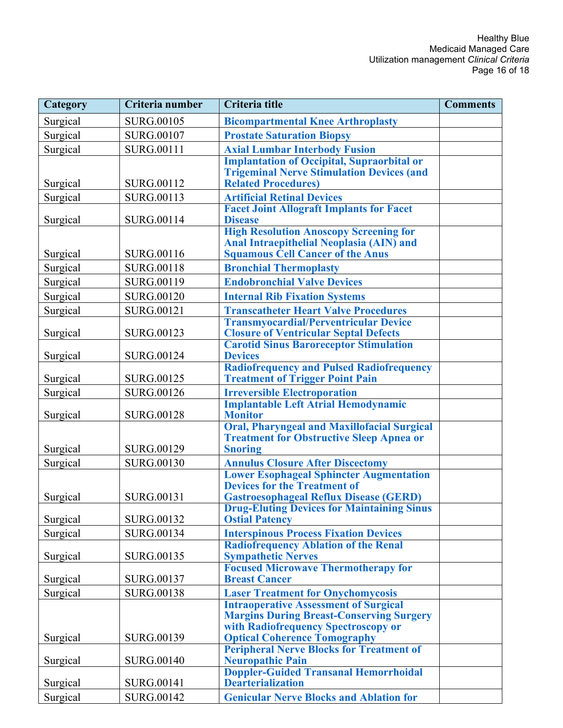| Category | Criteria number   | Criteria title                                                                                     | <b>Comments</b> |
|----------|-------------------|----------------------------------------------------------------------------------------------------|-----------------|
| Surgical | <b>SURG.00105</b> | <b>Bicompartmental Knee Arthroplasty</b>                                                           |                 |
| Surgical | <b>SURG.00107</b> | <b>Prostate Saturation Biopsy</b>                                                                  |                 |
| Surgical | <b>SURG.00111</b> | <b>Axial Lumbar Interbody Fusion</b>                                                               |                 |
|          |                   | <b>Implantation of Occipital, Supraorbital or</b>                                                  |                 |
|          |                   | <b>Trigeminal Nerve Stimulation Devices (and</b>                                                   |                 |
| Surgical | <b>SURG.00112</b> | <b>Related Procedures)</b>                                                                         |                 |
| Surgical | <b>SURG.00113</b> | <b>Artificial Retinal Devices</b><br><b>Facet Joint Allograft Implants for Facet</b>               |                 |
| Surgical | <b>SURG.00114</b> | <b>Disease</b>                                                                                     |                 |
|          |                   | <b>High Resolution Anoscopy Screening for</b>                                                      |                 |
|          |                   | Anal Intraepithelial Neoplasia (AIN) and                                                           |                 |
| Surgical | <b>SURG.00116</b> | <b>Squamous Cell Cancer of the Anus</b>                                                            |                 |
| Surgical | <b>SURG.00118</b> | <b>Bronchial Thermoplasty</b>                                                                      |                 |
| Surgical | <b>SURG.00119</b> | <b>Endobronchial Valve Devices</b>                                                                 |                 |
| Surgical | <b>SURG.00120</b> | <b>Internal Rib Fixation Systems</b>                                                               |                 |
| Surgical | <b>SURG.00121</b> | <b>Transcatheter Heart Valve Procedures</b>                                                        |                 |
|          |                   | <b>Transmyocardial/Perventricular Device</b>                                                       |                 |
| Surgical | <b>SURG.00123</b> | <b>Closure of Ventricular Septal Defects</b><br><b>Carotid Sinus Baroreceptor Stimulation</b>      |                 |
| Surgical | <b>SURG.00124</b> | <b>Devices</b>                                                                                     |                 |
|          |                   | <b>Radiofrequency and Pulsed Radiofrequency</b>                                                    |                 |
| Surgical | <b>SURG.00125</b> | <b>Treatment of Trigger Point Pain</b>                                                             |                 |
| Surgical | <b>SURG.00126</b> | <b>Irreversible Electroporation</b>                                                                |                 |
|          |                   | <b>Implantable Left Atrial Hemodynamic</b>                                                         |                 |
| Surgical | <b>SURG.00128</b> | <b>Monitor</b><br><b>Oral, Pharyngeal and Maxillofacial Surgical</b>                               |                 |
|          |                   | <b>Treatment for Obstructive Sleep Apnea or</b>                                                    |                 |
| Surgical | <b>SURG.00129</b> | <b>Snoring</b>                                                                                     |                 |
| Surgical | <b>SURG.00130</b> | <b>Annulus Closure After Discectomy</b>                                                            |                 |
|          |                   | <b>Lower Esophageal Sphincter Augmentation</b>                                                     |                 |
|          | <b>SURG.00131</b> | <b>Devices for the Treatment of</b>                                                                |                 |
| Surgical |                   | <b>Gastroesophageal Reflux Disease (GERD)</b><br><b>Drug-Eluting Devices for Maintaining Sinus</b> |                 |
| Surgical | <b>SURG.00132</b> | <b>Ostial Patency</b>                                                                              |                 |
| Surgical | <b>SURG.00134</b> | <b>Interspinous Process Fixation Devices</b>                                                       |                 |
|          |                   | <b>Radiofrequency Ablation of the Renal</b>                                                        |                 |
| Surgical | <b>SURG.00135</b> | <b>Sympathetic Nerves</b>                                                                          |                 |
|          |                   | <b>Focused Microwave Thermotherapy for</b><br><b>Breast Cancer</b>                                 |                 |
| Surgical | <b>SURG.00137</b> |                                                                                                    |                 |
| Surgical | <b>SURG.00138</b> | <b>Laser Treatment for Onychomycosis</b><br><b>Intraoperative Assessment of Surgical</b>           |                 |
|          |                   | <b>Margins During Breast-Conserving Surgery</b>                                                    |                 |
|          |                   | with Radiofrequency Spectroscopy or                                                                |                 |
| Surgical | <b>SURG.00139</b> | <b>Optical Coherence Tomography</b>                                                                |                 |
|          | <b>SURG.00140</b> | <b>Peripheral Nerve Blocks for Treatment of</b>                                                    |                 |
| Surgical |                   | <b>Neuropathic Pain</b><br><b>Doppler-Guided Transanal Hemorrhoidal</b>                            |                 |
| Surgical | <b>SURG.00141</b> | <b>Dearterialization</b>                                                                           |                 |
| Surgical | <b>SURG.00142</b> | <b>Genicular Nerve Blocks and Ablation for</b>                                                     |                 |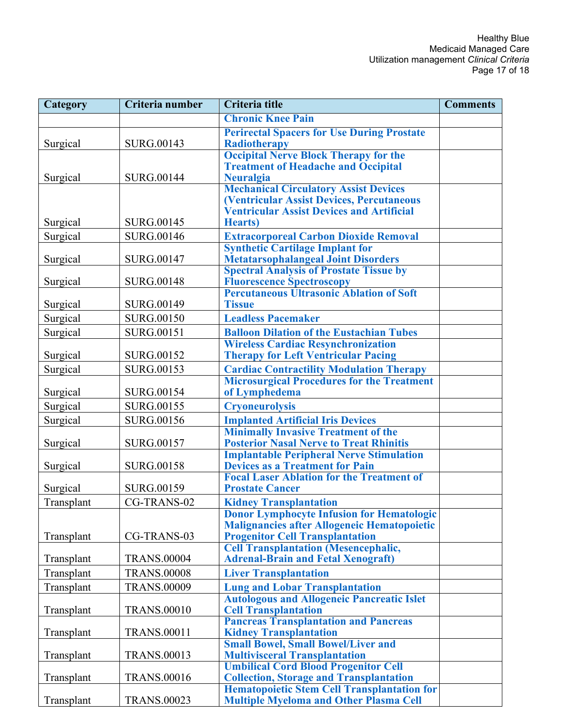| Category   | Criteria number    | Criteria title                                                                                      | <b>Comments</b> |
|------------|--------------------|-----------------------------------------------------------------------------------------------------|-----------------|
|            |                    | <b>Chronic Knee Pain</b>                                                                            |                 |
|            |                    | <b>Perirectal Spacers for Use During Prostate</b>                                                   |                 |
| Surgical   | SURG.00143         | <b>Radiotherapy</b>                                                                                 |                 |
|            |                    | <b>Occipital Nerve Block Therapy for the</b>                                                        |                 |
|            |                    | <b>Treatment of Headache and Occipital</b>                                                          |                 |
| Surgical   | <b>SURG.00144</b>  | <b>Neuralgia</b>                                                                                    |                 |
|            |                    | <b>Mechanical Circulatory Assist Devices</b><br>(Ventricular Assist Devices, Percutaneous           |                 |
|            |                    | <b>Ventricular Assist Devices and Artificial</b>                                                    |                 |
| Surgical   | <b>SURG.00145</b>  | <b>Hearts</b> )                                                                                     |                 |
| Surgical   | <b>SURG.00146</b>  | <b>Extracorporeal Carbon Dioxide Removal</b>                                                        |                 |
|            |                    | <b>Synthetic Cartilage Implant for</b>                                                              |                 |
| Surgical   | <b>SURG.00147</b>  | <b>Metatarsophalangeal Joint Disorders</b>                                                          |                 |
|            |                    | <b>Spectral Analysis of Prostate Tissue by</b>                                                      |                 |
| Surgical   | <b>SURG.00148</b>  | <b>Fluorescence Spectroscopy</b>                                                                    |                 |
|            |                    | <b>Percutaneous Ultrasonic Ablation of Soft</b>                                                     |                 |
| Surgical   | <b>SURG.00149</b>  | <b>Tissue</b>                                                                                       |                 |
| Surgical   | <b>SURG.00150</b>  | <b>Leadless Pacemaker</b>                                                                           |                 |
| Surgical   | <b>SURG.00151</b>  | <b>Balloon Dilation of the Eustachian Tubes</b>                                                     |                 |
|            |                    | <b>Wireless Cardiac Resynchronization</b>                                                           |                 |
| Surgical   | <b>SURG.00152</b>  | <b>Therapy for Left Ventricular Pacing</b>                                                          |                 |
| Surgical   | <b>SURG.00153</b>  | <b>Cardiac Contractility Modulation Therapy</b>                                                     |                 |
| Surgical   | <b>SURG.00154</b>  | <b>Microsurgical Procedures for the Treatment</b><br>of Lymphedema                                  |                 |
|            | <b>SURG.00155</b>  | <b>Cryoneurolysis</b>                                                                               |                 |
| Surgical   |                    |                                                                                                     |                 |
| Surgical   | <b>SURG.00156</b>  | <b>Implanted Artificial Iris Devices</b><br><b>Minimally Invasive Treatment of the</b>              |                 |
| Surgical   | <b>SURG.00157</b>  | <b>Posterior Nasal Nerve to Treat Rhinitis</b>                                                      |                 |
|            |                    | <b>Implantable Peripheral Nerve Stimulation</b>                                                     |                 |
| Surgical   | <b>SURG.00158</b>  | <b>Devices as a Treatment for Pain</b>                                                              |                 |
|            |                    | <b>Focal Laser Ablation for the Treatment of</b>                                                    |                 |
| Surgical   | <b>SURG.00159</b>  | <b>Prostate Cancer</b>                                                                              |                 |
| Transplant | CG-TRANS-02        | <b>Kidney Transplantation</b>                                                                       |                 |
|            |                    | <b>Donor Lymphocyte Infusion for Hematologic</b>                                                    |                 |
|            |                    | <b>Malignancies after Allogeneic Hematopoietic</b>                                                  |                 |
| Transplant | CG-TRANS-03        | <b>Progenitor Cell Transplantation</b>                                                              |                 |
| Transplant | <b>TRANS.00004</b> | <b>Cell Transplantation (Mesencephalic,</b><br><b>Adrenal-Brain and Fetal Xenograft)</b>            |                 |
| Transplant | <b>TRANS.00008</b> | <b>Liver Transplantation</b>                                                                        |                 |
|            |                    |                                                                                                     |                 |
| Transplant | <b>TRANS.00009</b> | <b>Lung and Lobar Transplantation</b><br><b>Autologous and Allogeneic Pancreatic Islet</b>          |                 |
| Transplant | <b>TRANS.00010</b> | <b>Cell Transplantation</b>                                                                         |                 |
|            |                    | <b>Pancreas Transplantation and Pancreas</b>                                                        |                 |
| Transplant | <b>TRANS.00011</b> | <b>Kidney Transplantation</b>                                                                       |                 |
|            |                    | <b>Small Bowel, Small Bowel/Liver and</b>                                                           |                 |
| Transplant | <b>TRANS.00013</b> | <b>Multivisceral Transplantation</b>                                                                |                 |
|            |                    | <b>Umbilical Cord Blood Progenitor Cell</b>                                                         |                 |
| Transplant | <b>TRANS.00016</b> | <b>Collection, Storage and Transplantation</b>                                                      |                 |
| Transplant | <b>TRANS.00023</b> | <b>Hematopoietic Stem Cell Transplantation for</b><br><b>Multiple Myeloma and Other Plasma Cell</b> |                 |
|            |                    |                                                                                                     |                 |